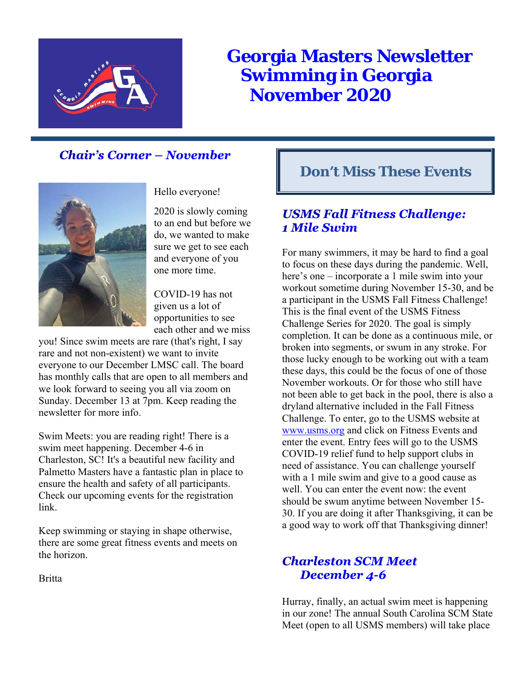

# **Georgia Masters Newsletter Swimming in Georgia November 2020**

## **Chair's Corner - November**



### Hello everyone!

2020 is slowly coming to an end but before we do, we wanted to make sure we get to see each and everyone of you one more time.

COVID-19 has not given us a lot of opportunities to see each other and we miss

you! Since swim meets are rare (that's right, I say rare and not non-existent) we want to invite everyone to our December LMSC call. The board has monthly calls that are open to all members and we look forward to seeing you all via zoom on Sunday. December 13 at 7pm. Keep reading the newsletter for more info.

Swim Meets: you are reading right! There is a swim meet happening. December 4-6 in Charleston, SC! It's a beautiful new facility and Palmetto Masters have a fantastic plan in place to ensure the health and safety of all participants. Check our upcoming events for the registration link.

Keep swimming or staying in shape otherwise, there are some great fitness events and meets on the horizon.

**Britta** 

## **Don't Miss These Events**

## **USMS Fall Fitness Challenge:** 1 Mile Swim

For many swimmers, it may be hard to find a goal to focus on these days during the pandemic. Well, here's one – incorporate a 1 mile swim into your workout sometime during November 15-30, and be a participant in the USMS Fall Fitness Challenge! This is the final event of the USMS Fitness Challenge Series for 2020. The goal is simply completion. It can be done as a continuous mile, or broken into segments, or swum in any stroke. For those lucky enough to be working out with a team these days, this could be the focus of one of those November workouts. Or for those who still have not been able to get back in the pool, there is also a dryland alternative included in the Fall Fitness Challenge. To enter, go to the USMS website at www.usms.org and click on Fitness Events and enter the event. Entry fees will go to the USMS COVID-19 relief fund to help support clubs in need of assistance. You can challenge yourself with a 1 mile swim and give to a good cause as well. You can enter the event now: the event should be swum anytime between November 15- 30. If you are doing it after Thanksgiving, it can be a good way to work off that Thanksgiving dinner!

## **Charleston SCM Meet** December 4-6

Hurray, finally, an actual swim meet is happening in our zone! The annual South Carolina SCM State Meet (open to all USMS members) will take place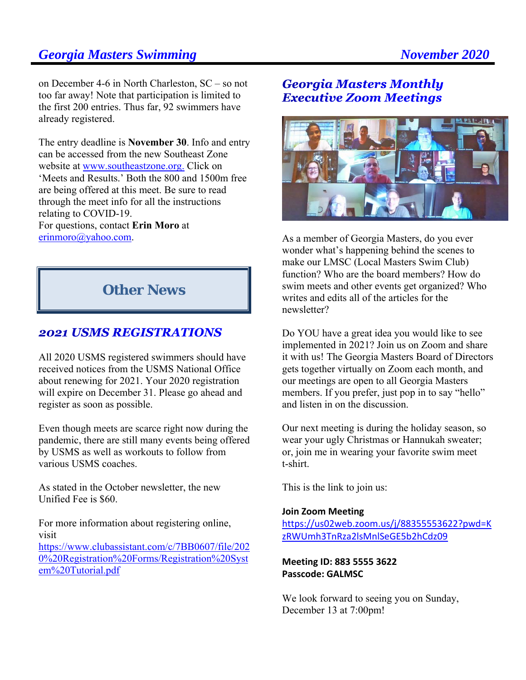## **Georgia Masters Swimming Community Community Community Community Community Community Community Community Community Community Community Community Community Community Community Community Community Community Community Commun**

on December 4-6 in North Charleston, SC – so not too far away! Note that participation is limited to the first 200 entries. Thus far, 92 swimmers have already registered.

The entry deadline is **November 30**. Info and entry can be accessed from the new Southeast Zone website at www.southeastzone.org. Click on 'Meets and Results.' Both the 800 and 1500m free are being offered at this meet. Be sure to read through the meet info for all the instructions relating to COVID-19. For questions, contact **Erin Moro** at erinmoro@yahoo.com.

## **Other News**

### **2021 USMS REGISTRATIONS**

All 2020 USMS registered swimmers should have received notices from the USMS National Office about renewing for 2021. Your 2020 registration will expire on December 31. Please go ahead and register as soon as possible.

Even though meets are scarce right now during the pandemic, there are still many events being offered by USMS as well as workouts to follow from various USMS coaches.

As stated in the October newsletter, the new Unified Fee is \$60.

For more information about registering online, visit https://www.clubassistant.com/c/7BB0607/file/202 0%20Registration%20Forms/Registration%20Syst em%20Tutorial.pdf

## **Georgia Masters Monthly Executive Zoom Meetings**



As a member of Georgia Masters, do you ever wonder what's happening behind the scenes to make our LMSC (Local Masters Swim Club) function? Who are the board members? How do swim meets and other events get organized? Who writes and edits all of the articles for the newsletter?

Do YOU have a great idea you would like to see implemented in 2021? Join us on Zoom and share it with us! The Georgia Masters Board of Directors gets together virtually on Zoom each month, and our meetings are open to all Georgia Masters members. If you prefer, just pop in to say "hello" and listen in on the discussion.

Our next meeting is during the holiday season, so wear your ugly Christmas or Hannukah sweater; or, join me in wearing your favorite swim meet t-shirt.

This is the link to join us:

### **Join Zoom Meeting**

https://us02web.zoom.us/j/88355553622?pwd=K zRWUmh3TnRza2lsMnlSeGE5b2hCdz09

**Meeting ID: 883 5555 3622 Passcode: GALMSC**

We look forward to seeing you on Sunday, December 13 at 7:00pm!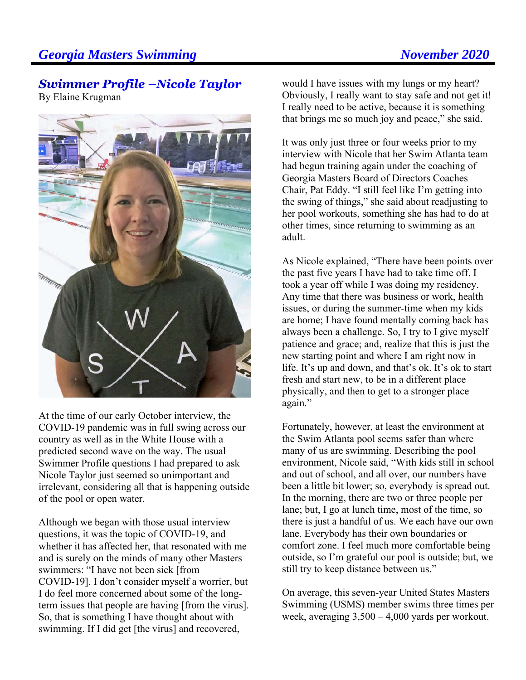## **Georgia Masters Swimming Community Community Community Community Community Community Community Community Community Community Community Community Community Community Community Community Community Community Community Commun**

### **Swimmer Profile -Nicole Taylor** By Elaine Krugman



At the time of our early October interview, the COVID-19 pandemic was in full swing across our country as well as in the White House with a predicted second wave on the way. The usual Swimmer Profile questions I had prepared to ask Nicole Taylor just seemed so unimportant and irrelevant, considering all that is happening outside of the pool or open water.

Although we began with those usual interview questions, it was the topic of COVID-19, and whether it has affected her, that resonated with me and is surely on the minds of many other Masters swimmers: "I have not been sick [from COVID-19]. I don't consider myself a worrier, but I do feel more concerned about some of the longterm issues that people are having [from the virus]. So, that is something I have thought about with swimming. If I did get [the virus] and recovered,

would I have issues with my lungs or my heart? Obviously, I really want to stay safe and not get it! I really need to be active, because it is something that brings me so much joy and peace," she said.

It was only just three or four weeks prior to my interview with Nicole that her Swim Atlanta team had begun training again under the coaching of Georgia Masters Board of Directors Coaches Chair, Pat Eddy. "I still feel like I'm getting into the swing of things," she said about readjusting to her pool workouts, something she has had to do at other times, since returning to swimming as an adult.

As Nicole explained, "There have been points over the past five years I have had to take time off. I took a year off while I was doing my residency. Any time that there was business or work, health issues, or during the summer-time when my kids are home; I have found mentally coming back has always been a challenge. So, I try to I give myself patience and grace; and, realize that this is just the new starting point and where I am right now in life. It's up and down, and that's ok. It's ok to start fresh and start new, to be in a different place physically, and then to get to a stronger place again."

Fortunately, however, at least the environment at the Swim Atlanta pool seems safer than where many of us are swimming. Describing the pool environment, Nicole said, "With kids still in school and out of school, and all over, our numbers have been a little bit lower; so, everybody is spread out. In the morning, there are two or three people per lane; but, I go at lunch time, most of the time, so there is just a handful of us. We each have our own lane. Everybody has their own boundaries or comfort zone. I feel much more comfortable being outside, so I'm grateful our pool is outside; but, we still try to keep distance between us."

On average, this seven-year United States Masters Swimming (USMS) member swims three times per week, averaging 3,500 – 4,000 yards per workout.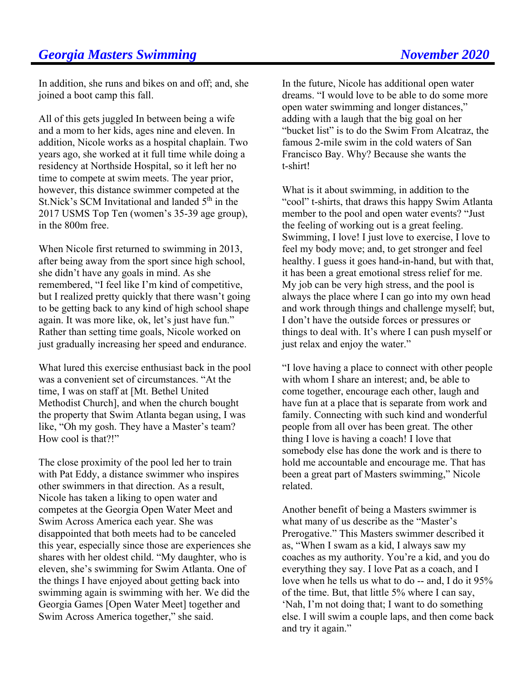In addition, she runs and bikes on and off; and, she joined a boot camp this fall.

All of this gets juggled In between being a wife and a mom to her kids, ages nine and eleven. In addition, Nicole works as a hospital chaplain. Two years ago, she worked at it full time while doing a residency at Northside Hospital, so it left her no time to compete at swim meets. The year prior, however, this distance swimmer competed at the St. Nick's SCM Invitational and landed  $5<sup>th</sup>$  in the 2017 USMS Top Ten (women's 35-39 age group), in the 800m free.

When Nicole first returned to swimming in 2013, after being away from the sport since high school, she didn't have any goals in mind. As she remembered, "I feel like I'm kind of competitive, but I realized pretty quickly that there wasn't going to be getting back to any kind of high school shape again. It was more like, ok, let's just have fun." Rather than setting time goals, Nicole worked on just gradually increasing her speed and endurance.

What lured this exercise enthusiast back in the pool was a convenient set of circumstances. "At the time, I was on staff at [Mt. Bethel United Methodist Church], and when the church bought the property that Swim Atlanta began using, I was like, "Oh my gosh. They have a Master's team? How cool is that?!"

The close proximity of the pool led her to train with Pat Eddy, a distance swimmer who inspires other swimmers in that direction. As a result, Nicole has taken a liking to open water and competes at the Georgia Open Water Meet and Swim Across America each year. She was disappointed that both meets had to be canceled this year, especially since those are experiences she shares with her oldest child. "My daughter, who is eleven, she's swimming for Swim Atlanta. One of the things I have enjoyed about getting back into swimming again is swimming with her. We did the Georgia Games [Open Water Meet] together and Swim Across America together," she said.

In the future, Nicole has additional open water dreams. "I would love to be able to do some more open water swimming and longer distances," adding with a laugh that the big goal on her "bucket list" is to do the Swim From Alcatraz, the famous 2-mile swim in the cold waters of San Francisco Bay. Why? Because she wants the t-shirt!

What is it about swimming, in addition to the "cool" t-shirts, that draws this happy Swim Atlanta member to the pool and open water events? "Just the feeling of working out is a great feeling. Swimming, I love! I just love to exercise, I love to feel my body move; and, to get stronger and feel healthy. I guess it goes hand-in-hand, but with that, it has been a great emotional stress relief for me. My job can be very high stress, and the pool is always the place where I can go into my own head and work through things and challenge myself; but, I don't have the outside forces or pressures or things to deal with. It's where I can push myself or just relax and enjoy the water."

"I love having a place to connect with other people with whom I share an interest; and, be able to come together, encourage each other, laugh and have fun at a place that is separate from work and family. Connecting with such kind and wonderful people from all over has been great. The other thing I love is having a coach! I love that somebody else has done the work and is there to hold me accountable and encourage me. That has been a great part of Masters swimming," Nicole related.

Another benefit of being a Masters swimmer is what many of us describe as the "Master's Prerogative." This Masters swimmer described it as, "When I swam as a kid, I always saw my coaches as my authority. You're a kid, and you do everything they say. I love Pat as a coach, and I love when he tells us what to do -- and, I do it 95% of the time. But, that little 5% where I can say, 'Nah, I'm not doing that; I want to do something else. I will swim a couple laps, and then come back and try it again."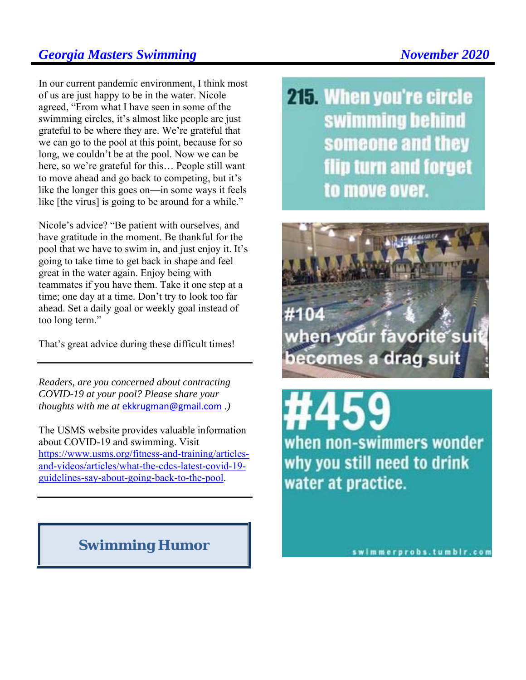## **Georgia Masters Swimming Community Community Community Community Community Community Community Community Community Community Community Community Community Community Community Community Community Community Community Commun**

In our current pandemic environment, I think most of us are just happy to be in the water. Nicole agreed, "From what I have seen in some of the swimming circles, it's almost like people are just grateful to be where they are. We're grateful that we can go to the pool at this point, because for so long, we couldn't be at the pool. Now we can be here, so we're grateful for this… People still want to move ahead and go back to competing, but it's like the longer this goes on—in some ways it feels like [the virus] is going to be around for a while."

Nicole's advice? "Be patient with ourselves, and have gratitude in the moment. Be thankful for the pool that we have to swim in, and just enjoy it. It's going to take time to get back in shape and feel great in the water again. Enjoy being with teammates if you have them. Take it one step at a time; one day at a time. Don't try to look too far ahead. Set a daily goal or weekly goal instead of too long term."

That's great advice during these difficult times!

*Readers, are you concerned about contracting COVID-19 at your pool? Please share your thoughts with me at* ekkrugman@gmail.com *.)* 

The USMS website provides valuable information about COVID-19 and swimming. Visit https://www.usms.org/fitness-and-training/articlesand-videos/articles/what-the-cdcs-latest-covid-19 guidelines-say-about-going-back-to-the-pool.

## **Swimming Humor**

215. When you're circle swimming behind someone and they flip turn and forget to move over.



when non-swimmers wonder why you still need to drink water at practice.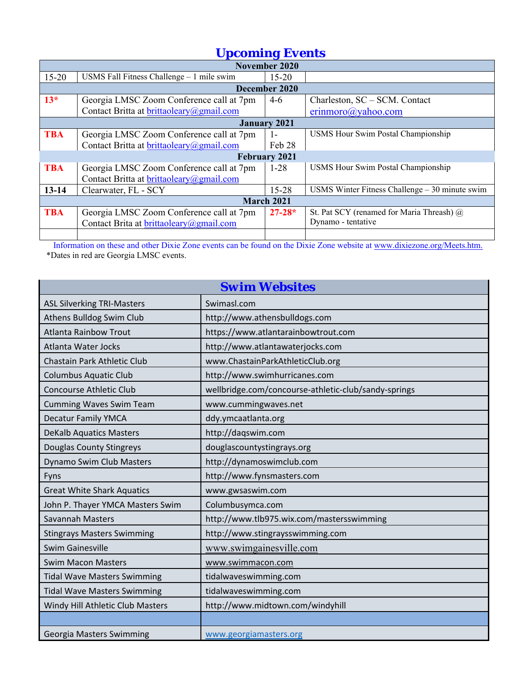# *Upcoming Events*

| November 2020        |                                            |            |                                                 |  |  |  |  |  |
|----------------------|--------------------------------------------|------------|-------------------------------------------------|--|--|--|--|--|
| $15 - 20$            | USMS Fall Fitness Challenge $-1$ mile swim | $15 - 20$  |                                                 |  |  |  |  |  |
| December 2020        |                                            |            |                                                 |  |  |  |  |  |
| $13*$                | Georgia LMSC Zoom Conference call at 7pm   | $4-6$      | Charleston, SC – SCM. Contact                   |  |  |  |  |  |
|                      | Contact Britta at brittaoleary@gmail.com   |            | $erimmoro$ ( <i>a</i> ) yahoo.com               |  |  |  |  |  |
| <b>January 2021</b>  |                                            |            |                                                 |  |  |  |  |  |
| <b>TBA</b>           | Georgia LMSC Zoom Conference call at 7pm   | $1-$       | <b>USMS Hour Swim Postal Championship</b>       |  |  |  |  |  |
|                      | Contact Britta at brittaoleary@gmail.com   | Feb 28     |                                                 |  |  |  |  |  |
| <b>February 2021</b> |                                            |            |                                                 |  |  |  |  |  |
| <b>TBA</b>           | Georgia LMSC Zoom Conference call at 7pm   | $1 - 28$   | <b>USMS Hour Swim Postal Championship</b>       |  |  |  |  |  |
|                      | Contact Britta at brittaoleary@gmail.com   |            |                                                 |  |  |  |  |  |
| $13 - 14$            | Clearwater, FL - SCY                       | $15 - 28$  | USMS Winter Fitness Challenge $-30$ minute swim |  |  |  |  |  |
| <b>March 2021</b>    |                                            |            |                                                 |  |  |  |  |  |
| <b>TBA</b>           | Georgia LMSC Zoom Conference call at 7pm   | $27 - 28*$ | St. Pat SCY (renamed for Maria Threash) @       |  |  |  |  |  |
|                      | Contact Brita at brittaoleary@gmail.com    |            | Dynamo - tentative                              |  |  |  |  |  |
|                      |                                            |            |                                                 |  |  |  |  |  |

Information on these and other Dixie Zone events can be found on the Dixie Zone website at www.dixiezone.org/Meets.htm. \*Dates in red are Georgia LMSC events.

| <b>Swim Websites</b>               |                                                      |  |  |  |  |
|------------------------------------|------------------------------------------------------|--|--|--|--|
| <b>ASL Silverking TRI-Masters</b>  | Swimasl.com                                          |  |  |  |  |
| Athens Bulldog Swim Club           | http://www.athensbulldogs.com                        |  |  |  |  |
| <b>Atlanta Rainbow Trout</b>       | https://www.atlantarainbowtrout.com                  |  |  |  |  |
| <b>Atlanta Water Jocks</b>         | http://www.atlantawaterjocks.com                     |  |  |  |  |
| Chastain Park Athletic Club        | www.ChastainParkAthleticClub.org                     |  |  |  |  |
| <b>Columbus Aquatic Club</b>       | http://www.swimhurricanes.com                        |  |  |  |  |
| <b>Concourse Athletic Club</b>     | wellbridge.com/concourse-athletic-club/sandy-springs |  |  |  |  |
| <b>Cumming Waves Swim Team</b>     | www.cummingwaves.net                                 |  |  |  |  |
| <b>Decatur Family YMCA</b>         | ddy.ymcaatlanta.org                                  |  |  |  |  |
| <b>DeKalb Aquatics Masters</b>     | http://daqswim.com                                   |  |  |  |  |
| Douglas County Stingreys           | douglascountystingrays.org                           |  |  |  |  |
| Dynamo Swim Club Masters           | http://dynamoswimclub.com                            |  |  |  |  |
| Fyns                               | http://www.fynsmasters.com                           |  |  |  |  |
| <b>Great White Shark Aquatics</b>  | www.gwsaswim.com                                     |  |  |  |  |
| John P. Thayer YMCA Masters Swim   | Columbusymca.com                                     |  |  |  |  |
| Savannah Masters                   | http://www.tlb975.wix.com/mastersswimming            |  |  |  |  |
| <b>Stingrays Masters Swimming</b>  | http://www.stingraysswimming.com                     |  |  |  |  |
| <b>Swim Gainesville</b>            | www.swimgainesville.com                              |  |  |  |  |
| <b>Swim Macon Masters</b>          | www.swimmacon.com                                    |  |  |  |  |
| <b>Tidal Wave Masters Swimming</b> | tidalwaveswimming.com                                |  |  |  |  |
| <b>Tidal Wave Masters Swimming</b> | tidalwaveswimming.com                                |  |  |  |  |
| Windy Hill Athletic Club Masters   | http://www.midtown.com/windyhill                     |  |  |  |  |
|                                    |                                                      |  |  |  |  |
| Georgia Masters Swimming           | www.georgiamasters.org                               |  |  |  |  |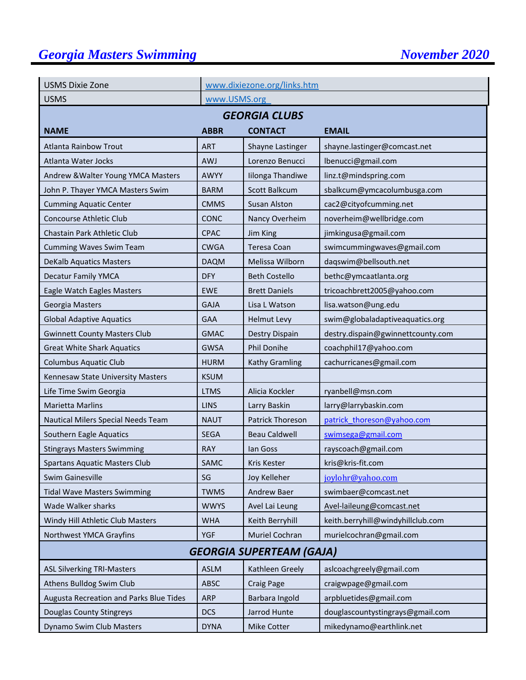# **Georgia Masters Swimming November 2020**

| <b>USMS Dixie Zone</b>                  |             | www.dixiezone.org/links.htm |                                   |  |  |  |  |  |  |
|-----------------------------------------|-------------|-----------------------------|-----------------------------------|--|--|--|--|--|--|
| <b>USMS</b>                             |             | www.USMS.org                |                                   |  |  |  |  |  |  |
| <b>GEORGIA CLUBS</b>                    |             |                             |                                   |  |  |  |  |  |  |
| <b>NAME</b>                             | <b>ABBR</b> | <b>CONTACT</b>              | <b>EMAIL</b>                      |  |  |  |  |  |  |
| <b>Atlanta Rainbow Trout</b>            | <b>ART</b>  | Shayne Lastinger            | shayne.lastinger@comcast.net      |  |  |  |  |  |  |
| Atlanta Water Jocks                     | <b>AWJ</b>  | Lorenzo Benucci             | lbenucci@gmail.com                |  |  |  |  |  |  |
| Andrew & Walter Young YMCA Masters      | AWYY        | Iilonga Thandiwe            | linz.t@mindspring.com             |  |  |  |  |  |  |
| John P. Thayer YMCA Masters Swim        | <b>BARM</b> | Scott Balkcum               | sbalkcum@ymcacolumbusga.com       |  |  |  |  |  |  |
| <b>Cumming Aquatic Center</b>           | <b>CMMS</b> | <b>Susan Alston</b>         | cac2@cityofcumming.net            |  |  |  |  |  |  |
| Concourse Athletic Club                 | <b>CONC</b> | Nancy Overheim              | noverheim@wellbridge.com          |  |  |  |  |  |  |
| Chastain Park Athletic Club             | <b>CPAC</b> | Jim King                    | jimkingusa@gmail.com              |  |  |  |  |  |  |
| <b>Cumming Waves Swim Team</b>          | <b>CWGA</b> | Teresa Coan                 | swimcummingwaves@gmail.com        |  |  |  |  |  |  |
| <b>DeKalb Aquatics Masters</b>          | <b>DAQM</b> | Melissa Wilborn             | daqswim@bellsouth.net             |  |  |  |  |  |  |
| <b>Decatur Family YMCA</b>              | <b>DFY</b>  | <b>Beth Costello</b>        | bethc@ymcaatlanta.org             |  |  |  |  |  |  |
| Eagle Watch Eagles Masters              | <b>EWE</b>  | <b>Brett Daniels</b>        | tricoachbrett2005@yahoo.com       |  |  |  |  |  |  |
| Georgia Masters                         | <b>GAJA</b> | Lisa L Watson               | lisa.watson@ung.edu               |  |  |  |  |  |  |
| <b>Global Adaptive Aquatics</b>         | <b>GAA</b>  | <b>Helmut Levy</b>          | swim@globaladaptiveaquatics.org   |  |  |  |  |  |  |
| <b>Gwinnett County Masters Club</b>     | <b>GMAC</b> | Destry Dispain              | destry.dispain@gwinnettcounty.com |  |  |  |  |  |  |
| <b>Great White Shark Aquatics</b>       | <b>GWSA</b> | Phil Donihe                 | coachphil17@yahoo.com             |  |  |  |  |  |  |
| Columbus Aquatic Club                   | <b>HURM</b> | Kathy Gramling              | cachurricanes@gmail.com           |  |  |  |  |  |  |
| Kennesaw State University Masters       | <b>KSUM</b> |                             |                                   |  |  |  |  |  |  |
| Life Time Swim Georgia                  | <b>LTMS</b> | Alicia Kockler              | ryanbell@msn.com                  |  |  |  |  |  |  |
| <b>Marietta Marlins</b>                 | <b>LINS</b> | Larry Baskin                | larry@larrybaskin.com             |  |  |  |  |  |  |
| Nautical Milers Special Needs Team      | <b>NAUT</b> | Patrick Thoreson            | patrick thoreson@yahoo.com        |  |  |  |  |  |  |
| Southern Eagle Aquatics                 | <b>SEGA</b> | <b>Beau Caldwell</b>        | swimsega@gmail.com                |  |  |  |  |  |  |
| <b>Stingrays Masters Swimming</b>       | <b>RAY</b>  | lan Goss                    | rayscoach@gmail.com               |  |  |  |  |  |  |
| <b>Spartans Aquatic Masters Club</b>    | SAMC        | Kris Kester                 | kris@kris-fit.com                 |  |  |  |  |  |  |
| Swim Gainesville                        | SG          | Joy Kelleher                | joylohr@yahoo.com                 |  |  |  |  |  |  |
| <b>Tidal Wave Masters Swimming</b>      | <b>TWMS</b> | Andrew Baer                 | swimbaer@comcast.net              |  |  |  |  |  |  |
| Wade Walker sharks                      | <b>WWYS</b> | Avel Lai Leung              | Avel-laileung@comcast.net         |  |  |  |  |  |  |
| Windy Hill Athletic Club Masters        | <b>WHA</b>  | Keith Berryhill             | keith.berryhill@windyhillclub.com |  |  |  |  |  |  |
| Northwest YMCA Grayfins                 | <b>YGF</b>  | Muriel Cochran              | murielcochran@gmail.com           |  |  |  |  |  |  |
| <b>GEORGIA SUPERTEAM (GAJA)</b>         |             |                             |                                   |  |  |  |  |  |  |
| <b>ASL Silverking TRI-Masters</b>       | <b>ASLM</b> | Kathleen Greely             | aslcoachgreely@gmail.com          |  |  |  |  |  |  |
| Athens Bulldog Swim Club                | ABSC        | <b>Craig Page</b>           | craigwpage@gmail.com              |  |  |  |  |  |  |
| Augusta Recreation and Parks Blue Tides | <b>ARP</b>  | Barbara Ingold              | arpbluetides@gmail.com            |  |  |  |  |  |  |
| Douglas County Stingreys                | <b>DCS</b>  | Jarrod Hunte                | douglascountystingrays@gmail.com  |  |  |  |  |  |  |
| Dynamo Swim Club Masters                | <b>DYNA</b> | Mike Cotter                 | mikedynamo@earthlink.net          |  |  |  |  |  |  |